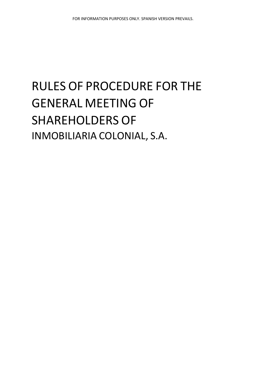# RULES OF PROCEDURE FOR THE GENERAL MEETING OF SHAREHOLDERS OF INMOBILIARIA COLONIAL, S.A.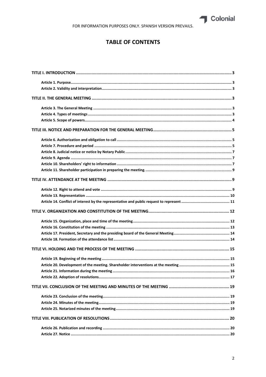

FOR INFORMATION PURPOSES ONLY. SPANISH VERSION PREVAILS.

## **TABLE OF CONTENTS**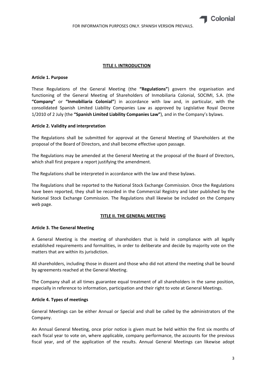

## **TITLE I. INTRODUCTION**

## **Article 1. Purpose**

These Regulations of the General Meeting (the **"Regulations"**) govern the organisation and functioning of the General Meeting of Shareholders of Inmobiliaria Colonial, SOCIMI, S.A. (the **"Company"** or **"Inmobiliaria Colonial"**) in accordance with law and, in particular, with the consolidated Spanish Limited Liability Companies Law as approved by Legislative Royal Decree 1/2010 of 2 July (the **"Spanish Limited Liability Companies Law"**), and in the Company's bylaws.

## **Article 2. Validity and interpretation**

The Regulations shall be submitted for approval at the General Meeting of Shareholders at the proposal of the Board of Directors, and shall become effective upon passage.

The Regulations may be amended at the General Meeting at the proposal of the Board of Directors, which shall first prepare a report justifying the amendment.

The Regulations shall be interpreted in accordance with the law and these bylaws.

The Regulations shall be reported to the National Stock Exchange Commission. Once the Regulations have been reported, they shall be recorded in the Commercial Registry and later published by the National Stock Exchange Commission. The Regulations shall likewise be included on the Company web page.

#### **TITLE II. THE GENERAL MEETING**

#### **Article 3. The General Meeting**

A General Meeting is the meeting of shareholders that is held in compliance with all legally established requirements and formalities, in order to deliberate and decide by majority vote on the matters that are within its jurisdiction.

All shareholders, including those in dissent and those who did not attend the meeting shall be bound by agreements reached at the General Meeting.

The Company shall at all times guarantee equal treatment of all shareholders in the same position, especially in reference to information, participation and their right to vote at General Meetings.

#### **Article 4. Types of meetings**

General Meetings can be either Annual or Special and shall be called by the administrators of the Company.

An Annual General Meeting, once prior notice is given must be held within the first six months of each fiscal year to vote on, where applicable, company performance, the accounts for the previous fiscal year, and of the application of the results. Annual General Meetings can likewise adopt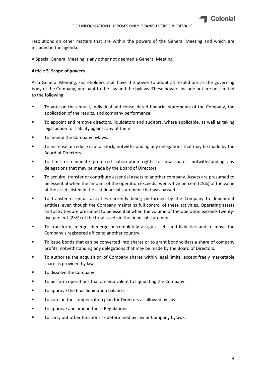

resolutions on other matters that are within the powers of the General Meeting and which are included in the agenda.

A Special General Meeting is any other not deemed a General Meeting.

## **Article 5. Scope of powers**

At a General Meeting, shareholders shall have the power to adopt all resolutions as the governing body of the Company, pursuant to the law and the bylaws. These powers include but are not limited to the following:

- To vote on the annual, individual and consolidated financial statements of the Company, the application of the results, and company performance.
- To appoint and remove directors, liquidators and auditors, where applicable, as well as taking legal action for liability against any of them.
- To amend the Company bylaws.
- To increase or reduce capital stock, notwithstanding any delegations that may be made by the Board of Directors.
- To limit or eliminate preferred subscription rights to new shares, notwithstanding any delegations that may be made by the Board of Directors.
- **THE TO acquire, transfer or contribute essential assets to another company. Assets are presumed to** be essential when the amount of the operation exceeds twenty-five percent (25%) of the value of the assets listed in the last financial statement that was passed.
- To transfer essential activities currently being performed by the Company to dependent entities, even though the Company maintains full control of these activities. Operating assets and activities are presumed to be essential when the volume of the operation exceeds twenty‐ five percent (25%) of the total assets in the financial statement.
- To transform, merge, demerge or completely assign assets and liabilities and to move the Company's registered office to another country.
- To issue bonds that can be converted into shares or to grant bondholders a share of company profits, notwithstanding any delegations that may be made by the Board of Directors.
- To authorize the acquisition of Company shares within legal limits, except freely marketable share as provided by law.
- **To dissolve the Company.**
- To perform operations that are equivalent to liquidating the Company.
- **To approve the final liquidation balance.**
- To vote on the compensation plan for Directors as allowed by law.
- **TO approve and amend these Regulations.**
- To carry out other functions as determined by law or Company bylaws.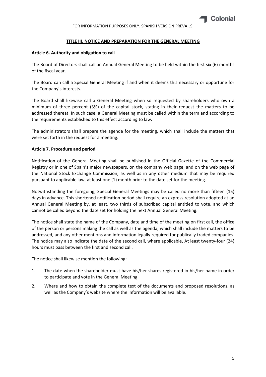

## **TITLE III. NOTICE AND PREPARATION FOR THE GENERAL MEETING**

## **Article 6. Authority and obligation to call**

The Board of Directors shall call an Annual General Meeting to be held within the first six (6) months of the fiscal year.

The Board can call a Special General Meeting if and when it deems this necessary or opportune for the Company's interests.

The Board shall likewise call a General Meeting when so requested by shareholders who own a minimum of three percent (3%) of the capital stock, stating in their request the matters to be addressed thereat. In such case, a General Meeting must be called within the term and according to the requirements established to this effect according to law.

The administrators shall prepare the agenda for the meeting, which shall include the matters that were set forth in the request for a meeting.

## **Article 7. Procedure and period**

Notification of the General Meeting shall be published in the Official Gazette of the Commercial Registry or in one of Spain's major newspapers, on the company web page, and on the web page of the National Stock Exchange Commission, as well as in any other medium that may be required pursuant to applicable law, at least one (1) month prior to the date set for the meeting.

Notwithstanding the foregoing, Special General Meetings may be called no more than fifteen (15) days in advance. This shortened notification period shall require an express resolution adopted at an Annual General Meeting by, at least, two thirds of subscribed capital entitled to vote, and which cannot be called beyond the date set for holding the next Annual General Meeting.

The notice shall state the name of the Company, date and time of the meeting on first call, the office of the person or persons making the call as well as the agenda, which shall include the matters to be addressed, and any other mentions and information legally required for publically traded companies. The notice may also indicate the date of the second call, where applicable, At least twenty‐four (24) hours must pass between the first and second call.

The notice shall likewise mention the following:

- 1. The date when the shareholder must have his/her shares registered in his/her name in order to participate and vote in the General Meeting.
- 2. Where and how to obtain the complete text of the documents and proposed resolutions, as well as the Company's website where the information will be available.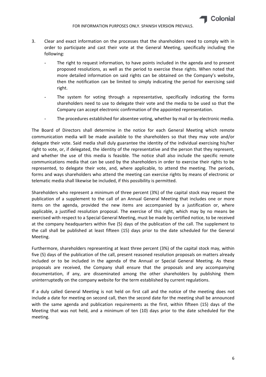

- 3. Clear and exact information on the processes that the shareholders need to comply with in order to participate and cast their vote at the General Meeting, specifically including the following:
	- The right to request information, to have points included in the agenda and to present proposed resolutions, as well as the period to exercise these rights. When noted that more detailed information on said rights can be obtained on the Company's website, then the notification can be limited to simply indicating the period for exercising said right.
	- The system for voting through a representative, specifically indicating the forms shareholders need to use to delegate their vote and the media to be used so that the Company can accept electronic confirmation of the appointed representation.
	- The procedures established for absentee voting, whether by mail or by electronic media.

The Board of Directors shall determine in the notice for each General Meeting which remote communication media will be made available to the shareholders so that they may vote and/or delegate their vote. Said media shall duly guarantee the identity of the individual exercising his/her right to vote, or, if delegated, the identity of the representative and the person that they represent, and whether the use of this media is feasible. The notice shall also include the specific remote communications media that can be used by the shareholders in order to exercise their rights to be represented, to delegate their vote, and, where applicable, to attend the meeting. The periods, forms and ways shareholders who attend the meeting can exercise rights by means of electronic or telematic media shall likewise be included, if this possibility is permitted.

Shareholders who represent a minimum of three percent (3%) of the capital stock may request the publication of a supplement to the call of an Annual General Meeting that includes one or more items on the agenda, provided the new items are accompanied by a justification or, where applicable, a justified resolution proposal. The exercise of this right, which may by no means be exercised with respect to a Special General Meeting, must be made by certified notice, to be received at the company headquarters within five (5) days of the publication of the call. The supplement to the call shall be published at least fifteen (15) days prior to the date scheduled for the General Meeting.

Furthermore, shareholders representing at least three percent (3%) of the capital stock may, within five (5) days of the publication of the call, present reasoned resolution proposals on matters already included or to be included in the agenda of the Annual or Special General Meeting. As these proposals are received, the Company shall ensure that the proposals and any accompanying documentation, if any, are disseminated among the other shareholders by publishing them uninterruptedly on the company website for the term established by current regulations.

If a duly called General Meeting is not held on first call and the notice of the meeting does not include a date for meeting on second call, then the second date for the meeting shall be announced with the same agenda and publication requirements as the first, within fifteen (15) days of the Meeting that was not held, and a minimum of ten (10) days prior to the date scheduled for the meeting.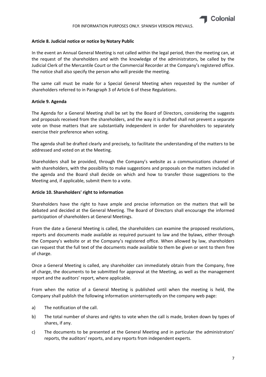

## **Article 8. Judicial notice or notice by Notary Public**

In the event an Annual General Meeting is not called within the legal period, then the meeting can, at the request of the shareholders and with the knowledge of the administrators, be called by the Judicial Clerk of the Mercantile Court or the Commercial Recorder at the Company's registered office. The notice shall also specify the person who will preside the meeting.

The same call must be made for a Special General Meeting when requested by the number of shareholders referred to in Paragraph 3 of Article 6 of these Regulations.

## **Article 9. Agenda**

The Agenda for a General Meeting shall be set by the Board of Directors, considering the suggests and proposals received from the shareholders, and the way it is drafted shall not prevent a separate vote on those matters that are substantially independent in order for shareholders to separately exercise their preference when voting.

The agenda shall be drafted clearly and precisely, to facilitate the understanding of the matters to be addressed and voted on at the Meeting.

Shareholders shall be provided, through the Company's website as a communications channel of with shareholders, with the possibility to make suggestions and proposals on the matters included in the agenda and the Board shall decide on which and how to transfer those suggestions to the Meeting and, if applicable, submit them to a vote.

## **Article 10. Shareholders' right to information**

Shareholders have the right to have ample and precise information on the matters that will be debated and decided at the General Meeting. The Board of Directors shall encourage the informed participation of shareholders at General Meetings.

From the date a General Meeting is called, the shareholders can examine the proposed resolutions, reports and documents made available as required pursuant to law and the bylaws, either through the Company's website or at the Company's registered office. When allowed by law, shareholders can request that the full text of the documents made available to them be given or sent to them free of charge.

Once a General Meeting is called, any shareholder can immediately obtain from the Company, free of charge, the documents to be submitted for approval at the Meeting, as well as the management report and the auditors' report, where applicable.

From when the notice of a General Meeting is published until when the meeting is held, the Company shall publish the following information uninterruptedly on the company web page:

- a) The notification of the call.
- b) The total number of shares and rights to vote when the call is made, broken down by types of shares, if any.
- c) The documents to be presented at the General Meeting and in particular the administrators' reports, the auditors' reports, and any reports from independent experts.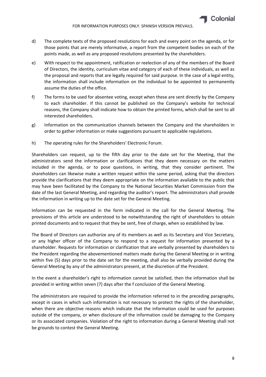- d) The complete texts of the proposed resolutions for each and every point on the agenda, or for those points that are merely informative, a report from the competent bodies on each of the points made, as well as any proposed resolutions presented by the shareholders.
- e) With respect to the appointment, ratification or reelection of any of the members of the Board of Directors, the identity, curriculum vitae and category of each of these individuals, as well as the proposal and reports that are legally required for said purpose. In the case of a legal entity, the information shall include information on the individual to be appointed to permanently assume the duties of the office.
- f) The forms to be used for absentee voting, except when these are sent directly by the Company to each shareholder. If this cannot be published on the Company's website for technical reasons, the Company shall indicate how to obtain the printed forms, which shall be sent to all interested shareholders.
- g) Information on the communication channels between the Company and the shareholders in order to gather information or make suggestions pursuant to applicable regulations.
- h) The operating rules for the Shareholders' Electronic Forum.

Shareholders can request, up to the fifth day prior to the date set for the Meeting, that the administrators send the information or clarifications that they deem necessary on the matters included in the agenda, or to pose questions, in writing, that they consider pertinent. The shareholders can likewise make a written request within the same period, asking that the directors provide the clarifications that they deem appropriate on the information available to the public that may have been facilitated by the Company to the National Securities Market Commission from the date of the last General Meeting, and regarding the auditor's report. The administrators shall provide the information in writing up to the date set for the General Meeting.

Information can be requested in the form indicated in the call for the General Meeting. The provisions of this article are understood to be notwithstanding the right of shareholders to obtain printed documents and to request that they be sent, free of charge, when so established by law.

The Board of Directors can authorize any of its members as well as its Secretary and Vice Secretary, or any higher officer of the Company to respond to a request for information presented by a shareholder. Requests for information or clarification that are verbally presented by shareholders to the President regarding the abovementioned matters made during the General Meeting or in writing within five (5) days prior to the date set for the meeting, shall also be verbally provided during the General Meeting by any of the administrators present, at the discretion of the President.

In the event a shareholder's right to information cannot be satisfied, then the information shall be provided in writing within seven (7) days after the f conclusion of the General Meeting.

The administrators are required to provide the information referred to in the preceding paragraphs, except in cases in which such information is not necessary to protect the rights of the shareholder, when there are objective reasons which indicate that the information could be used for purposes outside of the company, or when disclosure of the information could be damaging to the Company or its associated companies. Violation of the right to information during a General Meeting shall not be grounds to contest the General Meeting.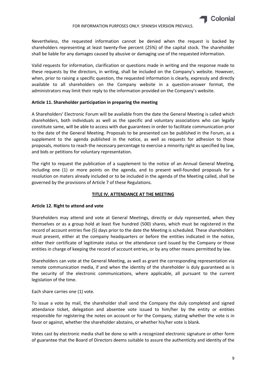Nevertheless, the requested information cannot be denied when the request is backed by shareholders representing at least twenty‐five percent (25%) of the capital stock. The shareholder shall be liable for any damages caused by abusive or damaging use of the requested information.

Valid requests for information, clarification or questions made in writing and the response made to these requests by the directors, in writing, shall be included on the Company's website. However, when, prior to raising a specific question, the requested information is clearly, expressly and directly available to all shareholders on the Company website in a question-answer format, the administrators may limit their reply to the information provided on the Company's website.

## **Article 11. Shareholder participation in preparing the meeting**

A Shareholders' Electronic Forum will be available from the date the General Meeting is called which shareholders, both individuals as well as the specific and voluntary associations who can legally constitute same, will be able to access with due guarantees in order to facilitate communication prior to the date of the General Meeting. Proposals to be presented can be published in the Forum, as a supplement to the agenda published in the notice, as well as requests for adhesion to those proposals, motions to reach the necessary percentage to exercise a minority right as specified by law, and bids or petitions for voluntary representation.

The right to request the publication of a supplement to the notice of an Annual General Meeting, including one (1) or more points on the agenda, and to present well-founded proposals for a resolution on maters already included or to be included in the agenda of the Meeting called, shall be governed by the provisions of Article 7 of these Regulations.

## **TITLE IV. ATTENDANCE AT THE MEETING**

## **Article 12. Right to attend and vote**

Shareholders may attend and vote at General Meetings, directly or duly represented, when they themselves or as a group hold at least five hundred (500) shares, which must be registered in the record of account entries five (5) days prior to the date the Meeting is scheduled. These shareholders must present, either at the company headquarters or before the entities indicated in the notice, either their certificate of legitimate status or the attendance card issued by the Company or those entities in charge of keeping the record of account entries, or by any other means permitted by law.

Shareholders can vote at the General Meeting, as well as grant the corresponding representation via remote communication media, if and when the identity of the shareholder is duly guaranteed as is the security of the electronic communications, where applicable, all pursuant to the current legislation of the time.

Each share carries one (1) vote.

To issue a vote by mail, the shareholder shall send the Company the duly completed and signed attendance ticket, delegation and absentee vote issued to him/her by the entity or entities responsible for registering the notes on account or for the Company, stating whether the vote is in favor or against, whether the shareholder abstains, or whether his/her vote is blank.

Votes cast by electronic media shall be done so with a recognized electronic signature or other form of guarantee that the Board of Directors deems suitable to assure the authenticity and identity of the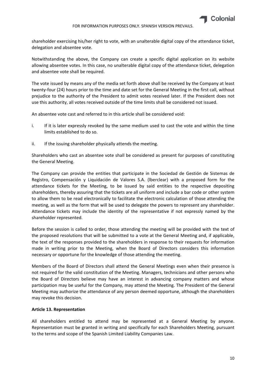

#### FOR INFORMATION PURPOSES ONLY. SPANISH VERSION PREVAILS.

shareholder exercising his/her right to vote, with an unalterable digital copy of the attendance ticket, delegation and absentee vote.

Notwithstanding the above, the Company can create a specific digital application on its website allowing absentee votes. In this case, no unalterable digital copy of the attendance ticket, delegation and absentee vote shall be required.

The vote issued by means any of the media set forth above shall be received by the Company at least twenty‐four (24) hours prior to the time and date set for the General Meeting in the first call, without prejudice to the authority of the President to admit votes received later. If the President does not use this authority, all votes received outside of the time limits shall be considered not issued.

An absentee vote cast and referred to in this article shall be considered void:

- i. If it is later expressly revoked by the same medium used to cast the vote and within the time limits established to do so.
- ii. If the issuing shareholder physically attends the meeting.

Shareholders who cast an absentee vote shall be considered as present for purposes of constituting the General Meeting.

The Company can provide the entities that participate in the Sociedad de Gestión de Sistemas de Registro, Compensación y Liquidación de Valores S.A. (lberclear) with a proposed form for the attendance tickets for the Meeting, to be issued by said entities to the respective depositing shareholders, thereby assuring that the tickets are all uniform and include a bar code or other system to allow them to be read electronically to facilitate the electronic calculation of those attending the meeting, as well as the form that will be used to delegate the powers to represent any shareholder. Attendance tickets may include the identity of the representative if not expressly named by the shareholder represented.

Before the session is called to order, those attending the meeting will be provided with the text of the proposed resolutions that will be submitted to a vote at the General Meeting and, if applicable, the text of the responses provided to the shareholders in response to their requests for information made in writing prior to the Meeting, when the Board of Directors considers this information necessary or opportune for the knowledge of those attending the meeting.

Members of the Board of Directors shall attend the General Meetings even when their presence is not required for the valid constitution of the Meeting. Managers, technicians and other persons who the Board of Directors believe may have an interest in advancing company matters and whose participation may be useful for the Company, may attend the Meeting. The President of the General Meeting may authorize the attendance of any person deemed opportune, although the shareholders may revoke this decision.

## **Article 13. Representation**

All shareholders entitled to attend may be represented at a General Meeting by anyone. Representation must be granted in writing and specifically for each Shareholders Meeting, pursuant to the terms and scope of the Spanish Limited Liability Companies Law.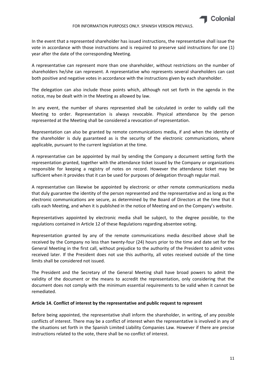In the event that a represented shareholder has issued instructions, the representative shall issue the vote in accordance with those instructions and is required to preserve said instructions for one (1) year after the date of the corresponding Meeting.

A representative can represent more than one shareholder, without restrictions on the number of shareholders he/she can represent. A representative who represents several shareholders can cast both positive and negative votes in accordance with the instructions given by each shareholder.

The delegation can also include those points which, although not set forth in the agenda in the notice, may be dealt with in the Meeting as allowed by law.

In any event, the number of shares represented shall be calculated in order to validly call the Meeting to order. Representation is always revocable. Physical attendance by the person represented at the Meeting shall be considered a revocation of representation.

Representation can also be granted by remote communications media, if and when the identity of the shareholder is duly guaranteed as is the security of the electronic communications, where applicable, pursuant to the current legislation at the time.

A representative can be appointed by mail by sending the Company a document setting forth the representation granted, together with the attendance ticket issued by the Company or organizations responsible for keeping a registry of notes on record. However the attendance ticket may be sufficient when it provides that it can be used for purposes of delegation through regular mail.

A representative can likewise be appointed by electronic or other remote communications media that duly guarantee the identity of the person represented and the representative and as long as the electronic communications are secure, as determined by the Board of Directors at the time that it calls each Meeting, and when it is published in the notice of Meeting and on the Company's website.

Representatives appointed by electronic media shall be subject, to the degree possible, to the regulations contained in Article 12 of these Regulations regarding absentee voting.

Representation granted by any of the remote communications media described above shall be received by the Company no less than twenty-four (24) hours prior to the time and date set for the General Meeting in the first call, without prejudice to the authority of the President to admit votes received later. If the President does not use this authority, all votes received outside of the time limits shall be considered not issued.

The President and the Secretary of the General Meeting shall have broad powers to admit the validity of the document or the means to accredit the representation, only considering that the document does not comply with the minimum essential requirements to be valid when it cannot be remediated.

#### **Article 14. Conflict of interest by the representative and public request to represent**

Before being appointed, the representative shall inform the shareholder, in writing, of any possible conflicts of interest. There may be a conflict of interest when the representative is involved in any of the situations set forth in the Spanish Limited Liability Companies Law. However if there are precise instructions related to the vote, there shall be no conflict of interest.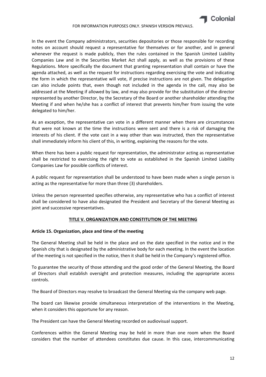

#### FOR INFORMATION PURPOSES ONLY. SPANISH VERSION PREVAILS.

In the event the Company administrators, securities depositories or those responsible for recording notes on account should request a representative for themselves or for another, and in general whenever the request is made publicly, then the rules contained in the Spanish Limited Liability Companies Law and in the Securities Market Act shall apply, as well as the provisions of these Regulations. More specifically the document that granting representation shall contain or have the agenda attached, as well as the request for instructions regarding exercising the vote and indicating the form in which the representative will vote, if precise instructions are not given. The delegation can also include points that, even though not included in the agenda in the call, may also be addressed at the Meeting if allowed by law, and may also provide for the substitution of the director represented by another Director, by the Secretary of the Board or another shareholder attending the Meeting if and when he/she has a conflict of interest that prevents him/her from issuing the vote delegated to him/her.

As an exception, the representative can vote in a different manner when there are circumstances that were not known at the time the instructions were sent and there is a risk of damaging the interests of his client. If the vote cast in a way other than was instructed, then the representative shall immediately inform his client of this, in writing, explaining the reasons for the vote.

When there has been a public request for representation, the administrator acting as representative shall be restricted to exercising the right to vote as established in the Spanish Limited Liability Companies Law for possible conflicts of interest.

A public request for representation shall be understood to have been made when a single person is acting as the representative for more than three (3) shareholders.

Unless the person represented specifies otherwise, any representative who has a conflict of interest shall be considered to have also designated the President and Secretary of the General Meeting as joint and successive representatives.

#### **TITLE V. ORGANIZATION AND CONSTITUTION OF THE MEETING**

#### **Article 15. Organization, place and time of the meeting**

The General Meeting shall be held in the place and on the date specified in the notice and in the Spanish city that is designated by the administrative body for each meeting. In the event the location of the meeting is not specified in the notice, then it shall be held in the Company's registered office.

To guarantee the security of those attending and the good order of the General Meeting, the Board of Directors shall establish oversight and protection measures, including the appropriate access controls.

The Board of Directors may resolve to broadcast the General Meeting via the company web page.

The board can likewise provide simultaneous interpretation of the interventions in the Meeting, when it considers this opportune for any reason.

The President can have the General Meeting recorded on audiovisual support.

Conferences within the General Meeting may be held in more than one room when the Board considers that the number of attendees constitutes due cause. In this case, intercommunicating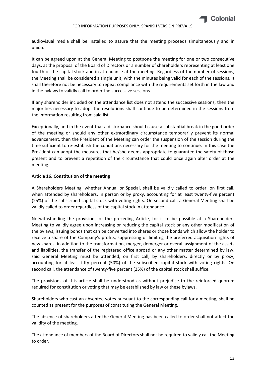

audiovisual media shall be installed to assure that the meeting proceeds simultaneously and in union.

It can be agreed upon at the General Meeting to postpone the meeting for one or two consecutive days, at the proposal of the Board of Directors or a number of shareholders representing at least one fourth of the capital stock and in attendance at the meeting. Regardless of the number of sessions, the Meeting shall be considered a single unit, with the minutes being valid for each of the sessions. It shall therefore not be necessary to repeat compliance with the requirements set forth in the law and in the bylaws to validly call to order the successive sessions.

If any shareholder included on the attendance list does not attend the successive sessions, then the majorities necessary to adopt the resolutions shall continue to be determined in the sessions from the information resulting from said list.

Exceptionally, and in the event that a disturbance should cause a substantial break in the good order of the meeting or should any other extraordinary circumstance temporarily prevent its normal advancement, then the President of the Meeting can order the suspension of the session during the time sufficient to re-establish the conditions necessary for the meeting to continue. In this case the President can adopt the measures that he/she deems appropriate to guarantee the safety of those present and to prevent a repetition of the circumstance that could once again alter order at the meeting.

## **Article 16. Constitution of the meeting**

A Shareholders Meeting, whether Annual or Special, shall be validly called to order, on first call, when attended by shareholders, in person or by proxy, accounting for at least twenty-five percent (25%) of the subscribed capital stock with voting rights. On second call, a General Meeting shall be validly called to order regardless of the capital stock in attendance.

Notwithstanding the provisions of the preceding Article, for it to be possible at a Shareholders Meeting to validly agree upon increasing or reducing the capital stock or any other modification of the bylaws, issuing bonds that can be converted into shares or those bonds which allow the holder to receive a share of the Company's profits, suppressing or limiting the preferred acquisition rights of new shares, in addition to the transformation, merger, demerger or overall assignment of the assets and liabilities, the transfer of the registered office abroad or any other matter determined by law, said General Meeting must be attended, on first call, by shareholders, directly or by proxy, accounting for at least fifty percent (50%) of the subscribed capital stock with voting rights. On second call, the attendance of twenty‐five percent (25%) of the capital stock shall suffice.

The provisions of this article shall be understood as without prejudice to the reinforced quorum required for constitution or voting that may be established by law or these bylaws.

Shareholders who cast an absentee votes pursuant to the corresponding call for a meeting, shall be counted as present for the purposes of constituting the General Meeting.

The absence of shareholders after the General Meeting has been called to order shall not affect the validity of the meeting.

The attendance of members of the Board of Directors shall not be required to validly call the Meeting to order.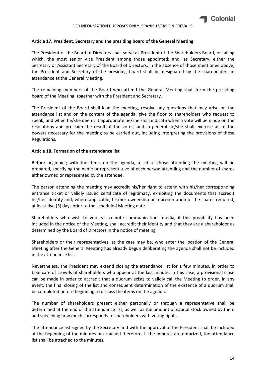## **Article 17. President, Secretary and the presiding board of the General Meeting**

The President of the Board of Directors shall serve as President of the Shareholders Board, or failing which, the most senior Vice President among those appointed; and, as Secretary, either the Secretary or Assistant Secretary of the Board of Directors. In the absence of those mentioned above, the President and Secretary of the presiding board shall be designated by the shareholders in attendance at the General Meeting.

The remaining members of the Board who attend the General Meeting shall form the presiding board of the Meeting, together with the President and Secretary.

The President of the Board shall lead the meeting, resolve any questions that may arise on the attendance list and on the content of the agenda, give the floor to shareholders who request to speak; and when he/she deems it appropriate he/she shall indicate when a vote will be made on the resolutions and proclaim the result of the votes; and in general he/she shall exercise all of the powers necessary for the meeting to be carried out, including interpreting the provisions of these Regulations.

## **Article 18. Formation of the attendance list**

Before beginning with the items on the agenda, a list of those attending the meeting will be prepared, specifying the name or representative of each person attending and the number of shares either owned or represented by the attendee.

The person attending the meeting may accredit his/her right to attend with his/her corresponding entrance ticket or validly issued certificate of legitimacy, exhibiting the documents that accredit his/her identity and, where applicable, his/her ownership or representation of the shares required, at least five (5) days prior to the scheduled Meeting date.

Shareholders who wish to vote via remote communications media, if this possibility has been included in the notice of the Meeting, shall accredit their identity and that they are a shareholder as determined by the Board of Directors in the notice of meeting.

Shareholders or their representatives, as the case may be, who enter the location of the General Meeting after the General Meeting has already begun deliberating the agenda shall not be included in the attendance list.

Nevertheless, the President may extend closing the attendance list for a few minutes, in order to take care of crowds of shareholders who appear at the last minute. In this case, a provisional close can be made in order to accredit that a quorum exists to validly call the Meeting to order. In any event, the final closing of the list and consequent determination of the existence of a quorum shall be completed before beginning to discuss the items on the agenda.

The number of shareholders present either personally or through a representative shall be determined at the end of the attendance list, as well as the amount of capital stock owned by them and specifying how much corresponds to shareholders with voting rights.

The attendance list signed by the Secretary and with the approval of the President shall be included at the beginning of the minutes or attached therefore. If the minutes are notarized, the attendance list shall be attached to the minutes.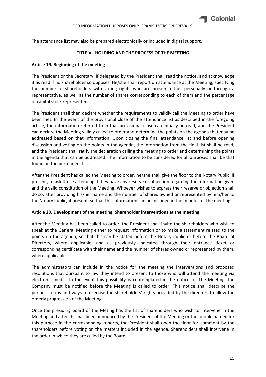The attendance list may also be prepared electronically or included in digital support.

## **TITLE VI. HOLDING AND THE PROCESS OF THE MEETING**

## **Article 19. Beginning of the meeting**

The President or the Secretary, if delegated by the President shall read the notice, and acknowledge it as read if no shareholder so opposes. He/she shall report on attendance at the Meeting, specifying the number of shareholders with voting rights who are present either personally or through a representative, as well as the number of shares corresponding to each of them and the percentage of capital stock represented.

The President shall then declare whether the requirements to validly call the Meeting to order have been met. In the event of the provisional close of the attendance list as described in the foregoing article, the information referred to in that provisional close can initially be read, and the President can declare the Meeting validly called to order and determine the points on the agenda that may be addressed based on that information. Upon closing the final attendance list and before opening discussion and voting on the points in the agenda, the information from the final list shall be read, and the President shall ratify the declaration calling the meeting to order and determining the points in the agenda that can be addressed. The information to be considered for all purposes shall be that found on the permanent list.

After the President has called the Meeting to order, he/she shall give the floor to the Notary Public, if present, to ask those attending if they have any reserve or objection regarding the information given and the valid constitution of the Meeting. Whoever wishes to express their reserve or objection shall do so, after providing his/her name and the number of shares owned or represented by him/her to the Notary Public, if present, so that this information can be included in the minutes of the meeting.

## **Article 20. Development of the meeting. Shareholder interventions at the meeting**

After the Meeting has been called to order, the President shall invite the shareholders who wish to speak at the General Meeting either to request information or to make a statement related to the points on the agenda, so that this can be stated before the Notary Public or before the Board of Directors, where applicable, and as previously indicated through their entrance ticket or corresponding certificate with their name and the number of shares owned or represented by them, where applicable.

The administrators can include in the notice for the meeting the interventions and proposed resolutions that pursuant to law they intend to present to those who will attend the meeting via electronic media. In the event this possibility is contemplated in the notice for the Meeting, the Company must be notified before the Meeting is called to order. This notice shall describe the periods, forms and ways to exercise the shareholders' rights provided by the directors to allow the orderly progression of the Meeting.

Once the presiding board of the Meting has the list of shareholders who wish to intervene in the Meeting and after this has been announced by the President of the Meeting or the people named for this purpose in the corresponding reports, the President shall open the floor for comment by the shareholders before voting on the matters included in the agenda. Shareholders shall intervene in the order in which they are called by the Board.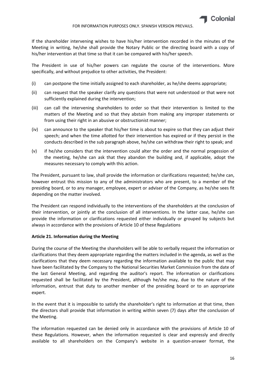

If the shareholder intervening wishes to have his/her intervention recorded in the minutes of the Meeting in writing, he/she shall provide the Notary Public or the directing board with a copy of his/her intervention at that time so that it can be compared with his/her speech.

The President in use of his/her powers can regulate the course of the interventions. More specifically, and without prejudice to other activities, the President:

- (i) can postpone the time initially assigned to each shareholder, as he/she deems appropriate;
- (ii) can request that the speaker clarify any questions that were not understood or that were not sufficiently explained during the intervention;
- (iii) can call the intervening shareholders to order so that their intervention is limited to the matters of the Meeting and so that they abstain from making any improper statements or from using their right in an abusive or obstructionist manner;
- (iv) can announce to the speaker that his/her time is about to expire so that they can adjust their speech; and when the time allotted for their intervention has expired or if they persist in the conducts described in the sub paragraph above, he/she can withdraw their right to speak; and
- (v) if he/she considers that the intervention could alter the order and the normal progession of the meeting, he/she can ask that they abandon the building and, if applicable, adopt the measures necessary to comply with this action.

The President, pursuant to law, shall provide the information or clarifications requested; he/she can, however entrust this mission to any of the administrators who are present, to a member of the presiding board, or to any manager, employee, expert or adviser of the Company, as he/she sees fit depending on the matter involved.

The President can respond individually to the interventions of the shareholders at the conclusion of their intervention, or jointly at the conclusion of all interventions. In the latter case, he/she can provide the information or clarifications requested either individually or grouped by subjects but always in accordance with the provisions of Article 10 of these Regulations

## **Article 21. Information during the Meeting**

During the course of the Meeting the shareholders will be able to verbally request the information or clarifications that they deem appropriate regarding the matters included in the agenda, as well as the clarifications that they deem necessary regarding the information available to the public that may have been facilitated by the Company to the National Securities Market Commission from the date of the last General Meeting, and regarding the auditor's report. The information or clarifications requested shall be facilitated by the President, although he/she may, due to the nature of the information, entrust that duty to another member of the presiding board or to an appropriate expert.

In the event that it is impossible to satisfy the shareholder's right to information at that time, then the directors shall provide that information in writing within seven (7) days after the conclusion of the Meeting.

The information requested can be denied only in accordance with the provisions of Article 10 of these Regulations. However, when the information requested is clear and expressly and directly available to all shareholders on the Company's website in a question-answer format, the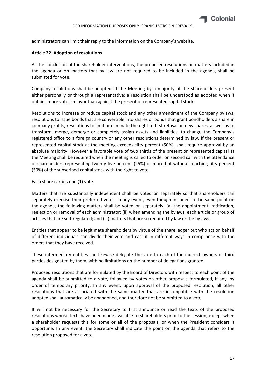administrators can limit their reply to the information on the Company's website.

## **Article 22. Adoption of resolutions**

At the conclusion of the shareholder interventions, the proposed resolutions on matters included in the agenda or on matters that by law are not required to be included in the agenda, shall be submitted for vote.

Company resolutions shall be adopted at the Meeting by a majority of the shareholders present either personally or through a representative; a resolution shall be understood as adopted when it obtains more votes in favor than against the present or represented capital stock.

Resolutions to increase or reduce capital stock and any other amendment of the Company bylaws, resolutions to issue bonds that are convertible into shares or bonds that grant bondholders a share in company profits, resolutions to limit or eliminate the right to first refusal on new shares, as well as to transform, merge, demerge or completely assign assets and liabilities, to change the Company's registered office to a foreign country or any other resolutions determined by law, if the present or represented capital stock at the meeting exceeds fifty percent (50%), shall require approval by an absolute majority. However a favorable vote of two thirds of the present or represented capital at the Meeting shall be required when the meeting is called to order on second call with the attendance of shareholders representing twenty five percent (25%) or more but without reaching fifty percent (50%) of the subscribed capital stock with the right to vote.

Each share carries one (1) vote.

Matters that are substantially independent shall be voted on separately so that shareholders can separately exercise their preferred votes. In any event, even though included in the same point on the agenda, the following matters shall be voted on separately: (a) the appointment, ratification, reelection or removal of each administrator; (ii) when amending the bylaws, each article or group of articles that are self‐regulated; and (iii) matters that are so required by law or the bylaws.

Entities that appear to be legitimate shareholders by virtue of the share ledger but who act on behalf of different individuals can divide their vote and cast it in different ways in compliance with the orders that they have received.

These intermediary entities can likewise delegate the vote to each of the indirect owners or third parties designated by them, with no limitations on the number of delegations granted.

Proposed resolutions that are formulated by the Board of Directors with respect to each point of the agenda shall be submitted to a vote, followed by votes on other proposals formulated, if any, by order of temporary priority. In any event, upon approval of the proposed resolution, all other resolutions that are associated with the same matter that are incompatible with the resolution adopted shall automatically be abandoned, and therefore not be submitted to a vote.

It will not be necessary for the Secretary to first announce or read the texts of the proposed resolutions whose texts have been made available to shareholders prior to the session, except when a shareholder requests this for some or all of the proposals, or when the President considers it opportune. In any event, the Secretary shall indicate the point on the agenda that refers to the resolution proposed for a vote.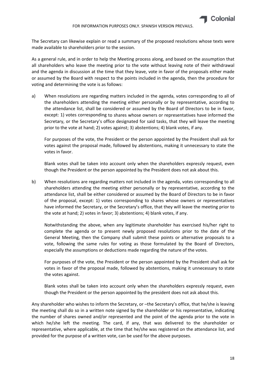

The Secretary can likewise explain or read a summary of the proposed resolutions whose texts were made available to shareholders prior to the session.

As a general rule, and in order to help the Meeting process along, and based on the assumption that all shareholders who leave the meeting prior to the vote without leaving note of their withdrawal and the agenda in discussion at the time that they leave, vote in favor of the proposals either made or assumed by the Board with respect to the points included in the agenda, then the procedure for voting and determining the vote is as follows:

a) When resolutions are regarding matters included in the agenda, votes corresponding to all of the shareholders attending the meeting either personally or by representative, according to the attendance list, shall be considered or assumed by the Board of Directors to be in favor, except: 1) votes corresponding to shares whose owners or representatives have informed the Secretary, or the Secretary's office designated for said tasks, that they will leave the meeting prior to the vote at hand; 2) votes against; 3) abstentions; 4) blank votes, if any.

For purposes of the vote, the President or the person appointed by the President shall ask for votes against the proposal made, followed by abstentions, making it unnecessary to state the votes in favor.

Blank votes shall be taken into account only when the shareholders expressly request, even though the President or the person appointed by the President does not ask about this.

b) When resolutions are regarding matters not included in the agenda, votes corresponding to all shareholders attending the meeting either personally or by representative, according to the attendance list, shall be either considered or assumed by the Board of Directors to be in favor of the proposal, except: 1) votes corresponding to shares whose owners or representatives have informed the Secretary, or the Secretary's office, that they will leave the meeting prior to the vote at hand; 2) votes in favor; 3) abstentions; 4) blank votes, if any.

Notwithstanding the above, when any legitimate shareholder has exercised his/her right to complete the agenda or to present newly proposed resolutions prior to the date of the General Meeting, then the Company shall submit these points or alternative proposals to a vote, following the same rules for voting as those formulated by the Board of Directors, especially the assumptions or deductions made regarding the nature of the votes.

For purposes of the vote, the President or the person appointed by the President shall ask for votes in favor of the proposal made, followed by abstentions, making it unnecessary to state the votes against.

Blank votes shall be taken into account only when the shareholders expressly request, even though the President or the person appointed by the president does not ask about this.

Any shareholder who wishes to inform the Secretary, or –the Secretary's office, that he/she is leaving the meeting shall do so in a written note signed by the shareholder or his representative, indicating the number of shares owned and/or represented and the point of the agenda prior to the vote in which he/she left the meeting. The card, if any, that was delivered to the shareholder or representative, where applicable, at the time that he/she was registered on the attendance list, and provided for the purpose of a written vote, can be used for the above purposes.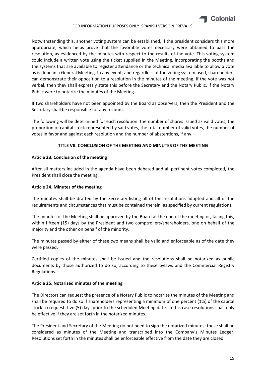

Notwithstanding this, another voting system can be established, if the president considers this more appropriate, which helps prove that the favorable votes necessary were obtained to pass the resolution, as evidenced by the minutes with respect to the results of the vote. This voting system could include a written vote using the ticket supplied in the Meeting, incorporating the booths and the systems that are available to register attendance or the technical media available to allow a vote as is done in a General Meeting. In any event, and regardless of the voting system used, shareholders can demonstrate their opposition to a resolution in the minutes of the meeting. If the vote was not verbal, then they shall expressly state this before the Secretary and the Notary Public, if the Notary Public were to notarize the minutes of the Meeting.

If two shareholders have not been appointed by the Board as observers, then the President and the Secretary shall be responsible for any recount.

The following will be determined for each resolution: the number of shares issued as valid votes, the proportion of capital stock represented by said votes, the total number of valid votes, the number of votes in favor and against each resolution and the number of abstentions, if any.

## **TITLE VII. CONCLUSION OF THE MEETING AND MINUTES OF THE MEETING**

#### **Article 23. Conclusion of the meeting**

After all matters included in the agenda have been debated and all pertinent votes completed, the President shall close the meeting.

## **Article 24. Minutes of the meeting**

The minutes shall be drafted by the Secretary listing all of the resolutions adopted and all of the requirements and circumstances that must be contained therein, as specified by current regulations.

The minutes of the Meeting shall be approved by the Board at the end of the meeting or, failing this, within fifteen (15) days by the President and two comptrollers/shareholders, one on behalf of the majority and the other on behalf of the minority.

The minutes passed by either of these two means shall be valid and enforceable as of the date they were passed.

Certified copies of the minutes shall be issued and the resolutions shall be notarized as public documents by those authorized to do so, according to these bylaws and the Commercial Registry Regulations.

#### **Article 25. Notarized minutes of the meeting**

The Directors can request the presence of a Notary Public to notarize the minutes of the Meeting and shall be required to do so if shareholders representing a minimum of one percent (1%) of the capital stock so request, five (5) days prior to the scheduled Meeting date. In this case resolutions shall only be effective if they are set forth in the notarized minutes.

The President and Secretary of the Meeting do not need to sign the notarized minutes; these shall be considered as minutes of the Meeting and transcribed into the Company's Minutes Ledger. Resolutions set forth in the minutes shall be enforceable effective from the date they are closed.